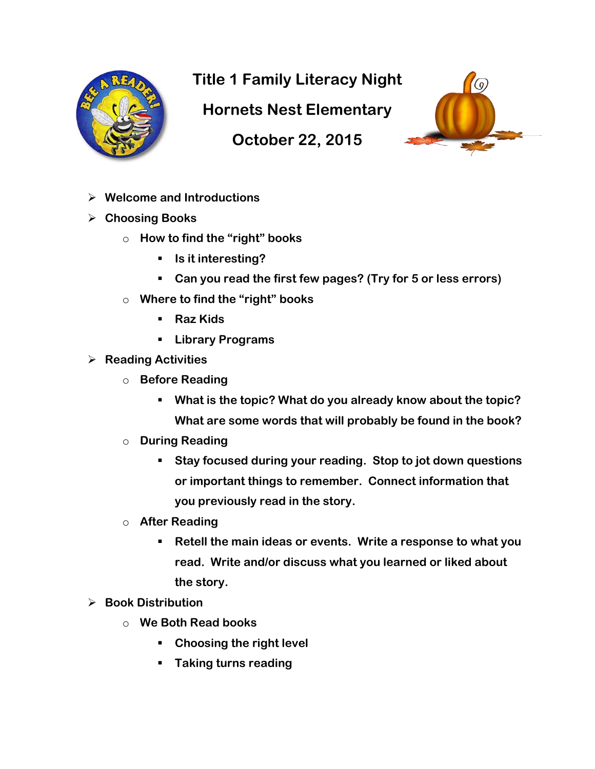

**Title 1 Family Literacy Night** 

**Hornets Nest Elementary**

**October 22, 2015**



- **Welcome and Introductions**
- **Choosing Books** 
	- o **How to find the "right" books**
		- **Is it interesting?**
		- **Can you read the first few pages? (Try for 5 or less errors)**
	- o **Where to find the "right" books**
		- **Raz Kids**
		- **Library Programs**
- **Reading Activities**
	- o **Before Reading**
		- **What is the topic? What do you already know about the topic? What are some words that will probably be found in the book?**
	- o **During Reading**
		- **Stay focused during your reading. Stop to jot down questions or important things to remember. Connect information that you previously read in the story.**
	- o **After Reading**
		- **Retell the main ideas or events. Write a response to what you read. Write and/or discuss what you learned or liked about the story.**
- **Book Distribution**
	- o **We Both Read books**
		- **Choosing the right level**
		- **Taking turns reading**